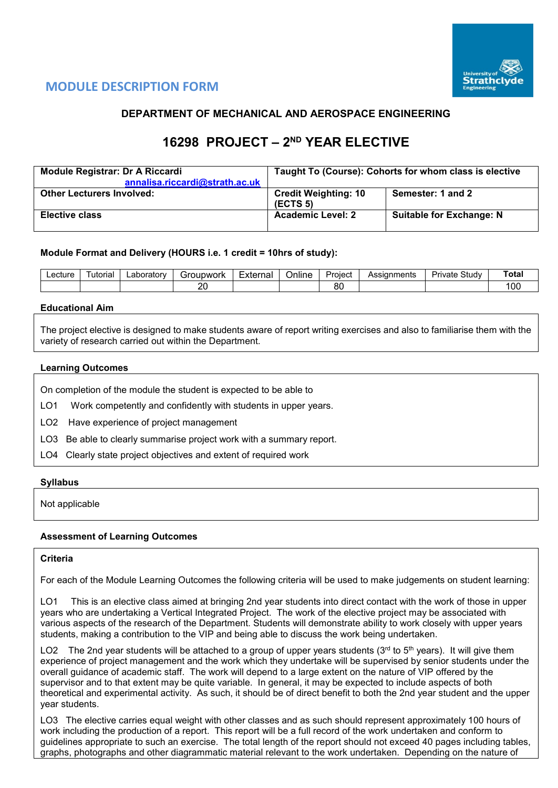

# **MODULE DESCRIPTION FORM**

# **DEPARTMENT OF MECHANICAL AND AEROSPACE ENGINEERING**

# **16298 PROJECT – 2ND YEAR ELECTIVE**

| Module Registrar: Dr A Riccardi  | Taught To (Course): Cohorts for whom class is elective |                                 |  |  |  |  |
|----------------------------------|--------------------------------------------------------|---------------------------------|--|--|--|--|
| annalisa.riccardi@strath.ac.uk   |                                                        |                                 |  |  |  |  |
| <b>Other Lecturers Involved:</b> | <b>Credit Weighting: 10</b><br>(ECTS <sub>5</sub> )    | Semester: 1 and 2               |  |  |  |  |
| <b>Elective class</b>            | <b>Academic Level: 2</b>                               | <b>Suitable for Exchange: N</b> |  |  |  |  |

## **Module Format and Delivery (HOURS i.e. 1 credit = 10hrs of study):**

| _ecture_ | utorial | ∟aboratorv | iroupwork | External | $\cdots$<br>⊃nlıne | Project  | Assianments | $C+$<br>Private<br>study | `ota⊦           |
|----------|---------|------------|-----------|----------|--------------------|----------|-------------|--------------------------|-----------------|
|          |         |            | nr<br>∠∽  |          |                    | n,<br>U۱ |             |                          | $\cdots$<br>∣∪∪ |

## **Educational Aim**

The project elective is designed to make students aware of report writing exercises and also to familiarise them with the variety of research carried out within the Department.

## **Learning Outcomes**

On completion of the module the student is expected to be able to

- LO1 Work competently and confidently with students in upper years.
- LO2 Have experience of project management
- LO3 Be able to clearly summarise project work with a summary report.
- LO4 Clearly state project objectives and extent of required work

## **Syllabus**

Not applicable

## **Assessment of Learning Outcomes**

## **Criteria**

For each of the Module Learning Outcomes the following criteria will be used to make judgements on student learning:

This is an elective class aimed at bringing 2nd year students into direct contact with the work of those in upper years who are undertaking a Vertical Integrated Project. The work of the elective project may be associated with various aspects of the research of the Department. Students will demonstrate ability to work closely with upper years students, making a contribution to the VIP and being able to discuss the work being undertaken.

LO2 The 2nd year students will be attached to a group of upper years students (3rd to 5<sup>th</sup> years). It will give them experience of project management and the work which they undertake will be supervised by senior students under the overall guidance of academic staff. The work will depend to a large extent on the nature of VIP offered by the supervisor and to that extent may be quite variable. In general, it may be expected to include aspects of both theoretical and experimental activity. As such, it should be of direct benefit to both the 2nd year student and the upper year students.

LO3 The elective carries equal weight with other classes and as such should represent approximately 100 hours of work including the production of a report. This report will be a full record of the work undertaken and conform to guidelines appropriate to such an exercise. The total length of the report should not exceed 40 pages including tables, graphs, photographs and other diagrammatic material relevant to the work undertaken. Depending on the nature of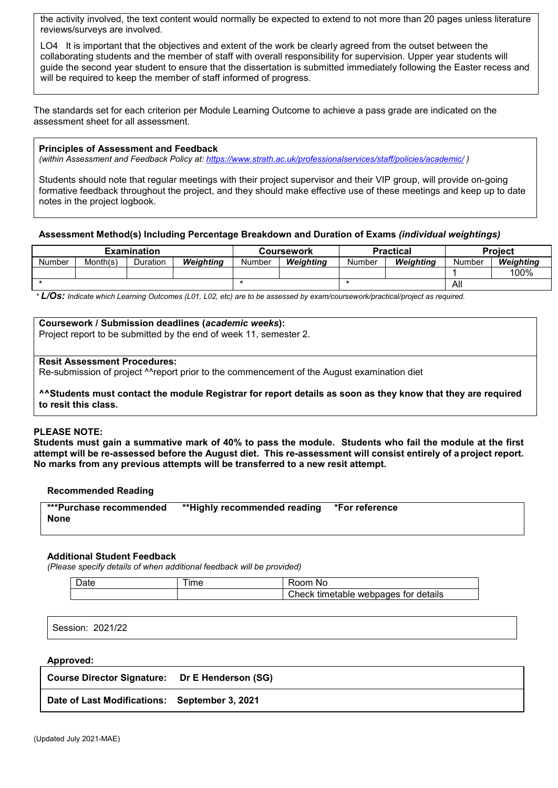the activity involved, the text content would normally be expected to extend to not more than 20 pages unless literature reviews/surveys are involved.

LO4 It is important that the objectives and extent of the work be clearly agreed from the outset between the collaborating students and the member of staff with overall responsibility for supervision. Upper year students will guide the second year student to ensure that the dissertation is submitted immediately following the Easter recess and will be required to keep the member of staff informed of progress.

The standards set for each criterion per Module Learning Outcome to achieve a pass grade are indicated on the assessment sheet for all assessment.

## **Principles of Assessment and Feedback**

*(within Assessment and Feedback Policy at: <https://www.strath.ac.uk/professionalservices/staff/policies/academic/> )*

Students should note that regular meetings with their project supervisor and their VIP group, will provide on-going formative feedback throughout the project, and they should make effective use of these meetings and keep up to date notes in the project logbook.

## **Assessment Method(s) Including Percentage Breakdown and Duration of Exams** *(individual weightings)*

| Examination |          |                 |           |        | Coursework |        | <b>Practical</b> | <b>Project</b> |           |
|-------------|----------|-----------------|-----------|--------|------------|--------|------------------|----------------|-----------|
| Number      | Month(s) | <b>Duration</b> | Weiahtina | Number | Weiahtina  | Number | Weiahtina        | Number         | Weiahtina |
|             |          |                 |           |        |            |        |                  |                | 100%      |
|             |          |                 |           |        |            |        |                  | All            |           |

*\* L/Os: Indicate which Learning Outcomes (L01, L02, etc) are to be assessed by exam/coursework/practical/project as required.*

#### **Coursework / Submission deadlines (***academic weeks***):**

Project report to be submitted by the end of week 11, semester 2.

#### **Resit Assessment Procedures:**

Re-submission of project ^^report prior to the commencement of the August examination diet

**^^Students must contact the module Registrar for report details as soon as they know that they are required to resit this class.**

#### **PLEASE NOTE:**

**Students must gain a summative mark of 40% to pass the module. Students who fail the module at the first attempt will be re-assessed before the August diet. This re-assessment will consist entirely of aproject report. No marks from any previous attempts will be transferred to a new resit attempt.**

#### **Recommended Reading**

| ***Purchase recommended | **Highly recommended reading *For reference |  |
|-------------------------|---------------------------------------------|--|
| None                    |                                             |  |
|                         |                                             |  |

#### **Additional Student Feedback**

*(Please specify details of when additional feedback will be provided)*

| -<br>Jate | lme | ∩m<br>NC                                                  |
|-----------|-----|-----------------------------------------------------------|
|           |     | details<br>, webpages<br>`heck-<br>tor<br>tımı<br>netanie |

Session: 2021/22

#### **Approved:**

| Course Director Signature: Dr E Henderson (SG) |  |
|------------------------------------------------|--|
| Date of Last Modifications: September 3, 2021  |  |